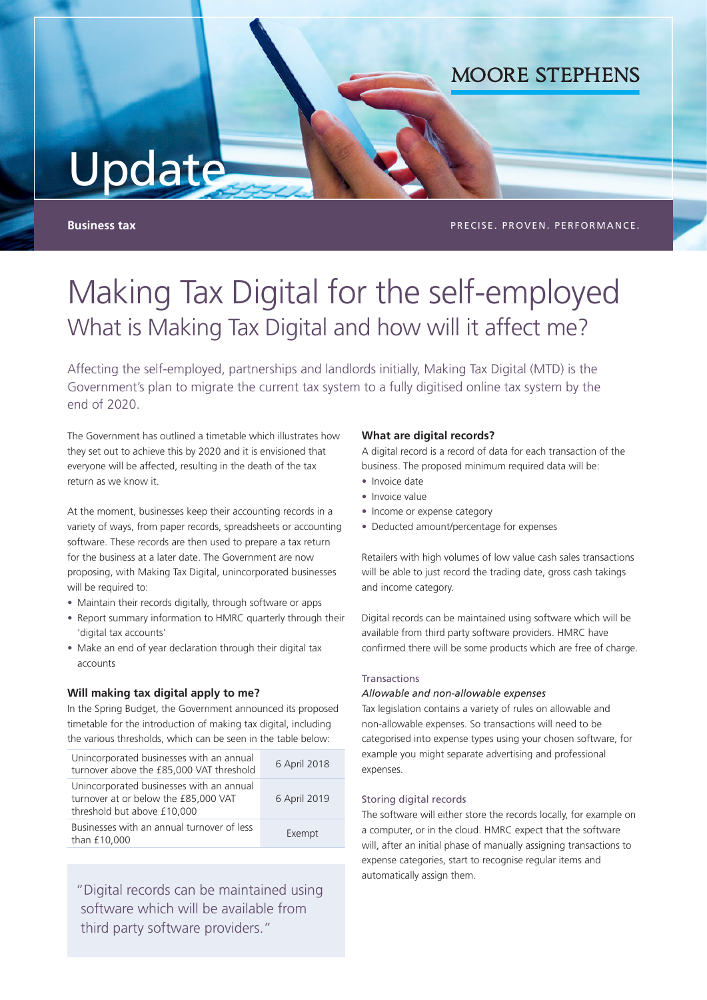# Update

**Business tax PRECISE. PROVEN. PERFORMANCE.** 

**MOORE STEPHENS** 

# Making Tax Digital for the self-employed What is Making Tax Digital and how will it affect me?

Affecting the self-employed, partnerships and landlords initially, Making Tax Digital (MTD) is the Government's plan to migrate the current tax system to a fully digitised online tax system by the end of 2020.

The Government has outlined a timetable which illustrates how they set out to achieve this by 2020 and it is envisioned that everyone will be affected, resulting in the death of the tax return as we know it.

At the moment, businesses keep their accounting records in a variety of ways, from paper records, spreadsheets or accounting software. These records are then used to prepare a tax return for the business at a later date. The Government are now proposing, with Making Tax Digital, unincorporated businesses will be required to:

- Maintain their records digitally, through software or apps
- Report summary information to HMRC quarterly through their 'digital tax accounts'
- Make an end of year declaration through their digital tax accounts

# **Will making tax digital apply to me?**

In the Spring Budget, the Government announced its proposed timetable for the introduction of making tax digital, including the various thresholds, which can be seen in the table below:

| Unincorporated businesses with an annual<br>turnover above the £85,000 VAT threshold                            | 6 April 2018 |
|-----------------------------------------------------------------------------------------------------------------|--------------|
| Unincorporated businesses with an annual<br>turnover at or below the £85,000 VAT<br>threshold but above £10,000 | 6 April 2019 |
| Businesses with an annual turnover of less<br>than £10,000                                                      | Exempt       |

"Digital records can be maintained using software which will be available from third party software providers."

# **What are digital records?**

A digital record is a record of data for each transaction of the business. The proposed minimum required data will be:

- Invoice date
- Invoice value
- Income or expense category
- Deducted amount/percentage for expenses

Retailers with high volumes of low value cash sales transactions will be able to just record the trading date, gross cash takings and income category.

Digital records can be maintained using software which will be available from third party software providers. HMRC have confirmed there will be some products which are free of charge.

#### Transactions

# *Allowable and non-allowable expenses*

Tax legislation contains a variety of rules on allowable and non-allowable expenses. So transactions will need to be categorised into expense types using your chosen software, for example you might separate advertising and professional expenses.

#### Storing digital records

The software will either store the records locally, for example on a computer, or in the cloud. HMRC expect that the software will, after an initial phase of manually assigning transactions to expense categories, start to recognise regular items and automatically assign them.